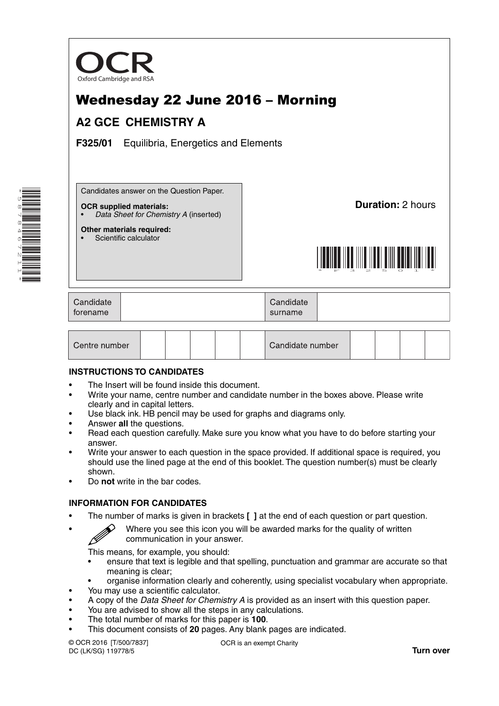

# Wednesday 22 June 2016 – Morning

## **A2 GCE CHEMISTRY A**

**F325/01** Equilibria, Energetics and Elements

Candidates answer on the Question Paper.

#### **OCR supplied materials:**

**Other materials required:** Scientific calculator

• *Data Sheet for Chemistry A* (inserted)

**Duration:** 2 hours



| Candidate<br>forename |  | Candidate<br>surname |  |
|-----------------------|--|----------------------|--|
|-----------------------|--|----------------------|--|

| Centre number |  |  |  |  |  | Candidate number |  |  |  |  |  |
|---------------|--|--|--|--|--|------------------|--|--|--|--|--|
|---------------|--|--|--|--|--|------------------|--|--|--|--|--|

#### **INSTRUCTIONS TO CANDIDATES**

- The Insert will be found inside this document.
- Write your name, centre number and candidate number in the boxes above. Please write clearly and in capital letters.
- Use black ink. HB pencil may be used for graphs and diagrams only.
- Answer **all** the questions.
- Read each question carefully. Make sure you know what you have to do before starting your answer.
- Write your answer to each question in the space provided. If additional space is required, you should use the lined page at the end of this booklet. The question number(s) must be clearly shown.
- Do **not** write in the bar codes.

#### **INFORMATION FOR CANDIDATES**

- The number of marks is given in brackets **[ ]** at the end of each question or part question.
	- Where you see this icon you will be awarded marks for the quality of written communication in your answer.

This means, for example, you should:

- ensure that text is legible and that spelling, punctuation and grammar are accurate so that meaning is clear;
- organise information clearly and coherently, using specialist vocabulary when appropriate.
- You may use a scientific calculator.
- A copy of the *Data Sheet for Chemistry A* is provided as an insert with this question paper.
- You are advised to show all the steps in any calculations.
- The total number of marks for this paper is **100**.
- This document consists of **20** pages. Any blank pages are indicated.

© OCR 2016 [T/500/7837] DC (LK/SG) 119778/5

OCR is an exempt Charity

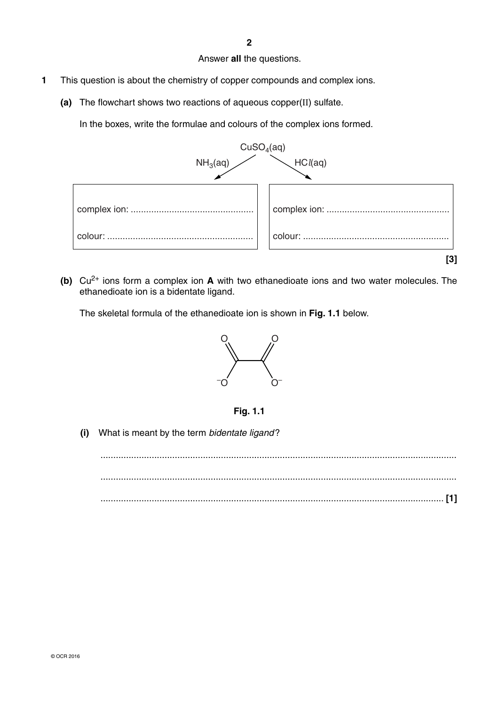Answer **all** the questions.

- **1** This question is about the chemistry of copper compounds and complex ions.
	- **(a)** The flowchart shows two reactions of aqueous copper(II) sulfate.

In the boxes, write the formulae and colours of the complex ions formed.



 **(b)** Cu2+ ions form a complex ion **A** with two ethanedioate ions and two water molecules. The ethanedioate ion is a bidentate ligand.

The skeletal formula of the ethanedioate ion is shown in **Fig. 1.1** below.





 **(i)** What is meant by the term *bidentate ligand* ?

 ........................................................................................................................................... ........................................................................................................................................... ...................................................................................................................................... **[1]**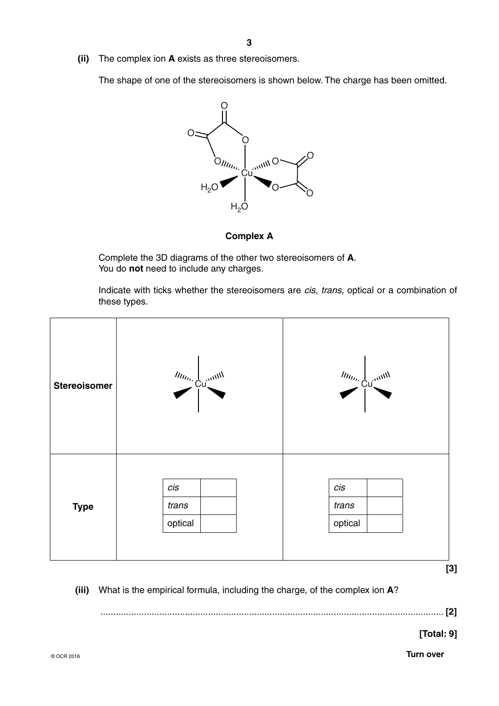**(ii)** The complex ion **A** exists as three stereoisomers.

The shape of one of the stereoisomers is shown below. The charge has been omitted.



**Complex A**

Complete the 3D diagrams of the other two stereoisomers of **A**. You do **not** need to include any charges.

Indicate with ticks whether the stereoisomers are *cis*, *trans*, optical or a combination of these types.



**[3]**

 **(iii)** What is the empirical formula, including the charge, of the complex ion **A**?

...................................................................................................................................... **[2]**

**[Total: 9]**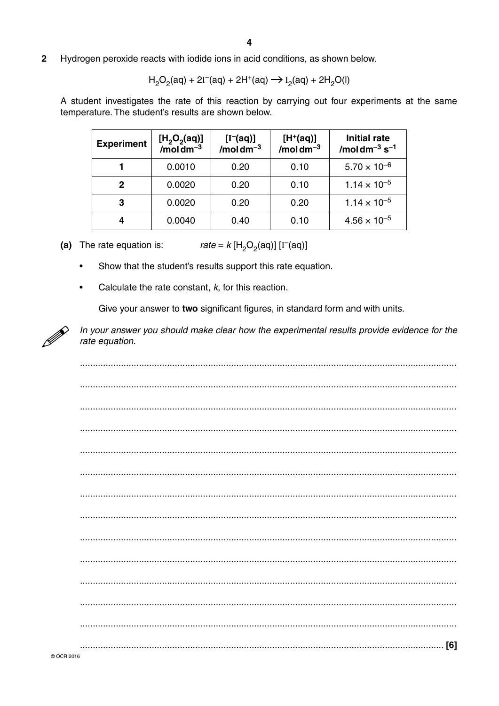$\overline{2}$ Hydrogen peroxide reacts with iodide ions in acid conditions, as shown below.

$$
H_2O_2(aq) + 2I^-(aq) + 2H^+(aq) \rightarrow I_2(aq) + 2H_2O(l)
$$

A student investigates the rate of this reaction by carrying out four experiments at the same temperature. The student's results are shown below.

| <b>Experiment</b> | $[H2O2(aq)]$<br>/mol dm <sup>-3</sup> | $[I^-(aq)]$ /moldm <sup>-3</sup> | $[H^+(aq)]$<br>$/moldm-3$ | <b>Initial rate</b><br>/moldm <sup>-3</sup> $s^{-1}$ |
|-------------------|---------------------------------------|----------------------------------|---------------------------|------------------------------------------------------|
|                   | 0.0010                                | 0.20                             | 0.10                      | $5.70 \times 10^{-6}$                                |
| 2                 | 0.0020                                | 0.20                             | 0.10                      | $1.14 \times 10^{-5}$                                |
| 3                 | 0.0020                                | 0.20                             | 0.20                      | $1.14 \times 10^{-5}$                                |
|                   | 0.0040                                | 0.40                             | 0.10                      | $4.56 \times 10^{-5}$                                |

*rate* =  $k$  [H<sub>2</sub>O<sub>2</sub>(aq)] [I<sup>-</sup>(aq)] (a) The rate equation is:

- $\bullet$ Show that the student's results support this rate equation.
- Calculate the rate constant,  $k$ , for this reaction.  $\bullet$

Give your answer to two significant figures, in standard form and with units.



In your answer you should make clear how the experimental results provide evidence for the rate equation.

| [6] |
|-----|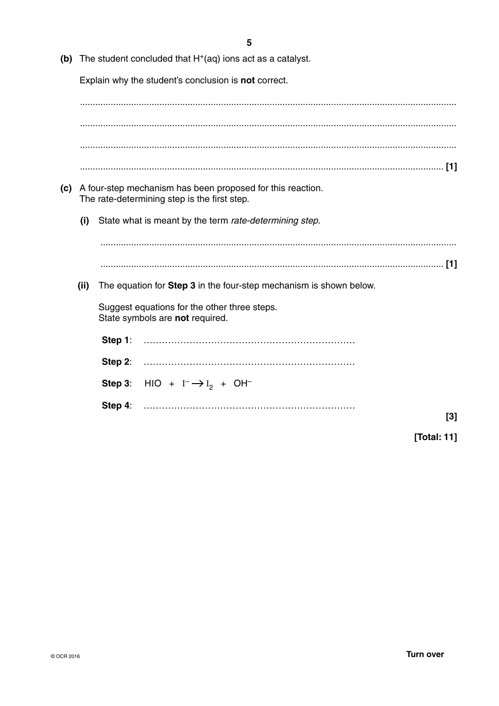| (b) |      |            | The student concluded that $H+(aq)$ ions act as a catalyst.                                                |     |
|-----|------|------------|------------------------------------------------------------------------------------------------------------|-----|
|     |      |            | Explain why the student's conclusion is <b>not</b> correct.                                                |     |
|     |      |            |                                                                                                            |     |
|     |      |            |                                                                                                            |     |
|     |      |            |                                                                                                            |     |
|     |      |            |                                                                                                            |     |
|     |      |            |                                                                                                            |     |
| (c) |      |            | A four-step mechanism has been proposed for this reaction.<br>The rate-determining step is the first step. |     |
|     | (i)  |            | State what is meant by the term rate-determining step.                                                     |     |
|     |      |            |                                                                                                            |     |
|     |      |            |                                                                                                            |     |
|     | (ii) |            | The equation for Step 3 in the four-step mechanism is shown below.                                         |     |
|     |      |            | Suggest equations for the other three steps.<br>State symbols are not required.                            |     |
|     |      | Step 1:    |                                                                                                            |     |
|     |      | Step $2$ : |                                                                                                            |     |
|     |      |            | Step 3: HIO + $I^{-} \rightarrow I_{2}$ + OH <sup>-</sup>                                                  |     |
|     |      | Step 4:    |                                                                                                            | [3] |

 $[3]$ 

[Total: 11]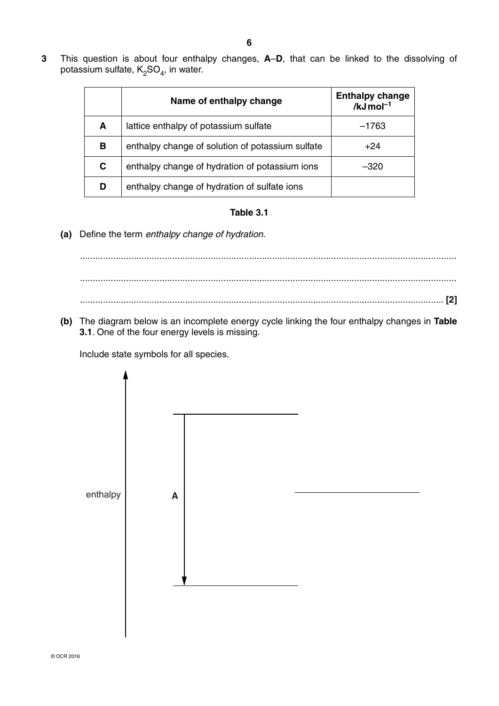**3** This question is about four enthalpy changes, **A**–**D**, that can be linked to the dissolving of potassium sulfate,  $K_2SO_4$ , in water.

|   | Name of enthalpy change                          | <b>Enthalpy change</b><br>/ $kJ$ mol <sup>-1</sup> |
|---|--------------------------------------------------|----------------------------------------------------|
| A | lattice enthalpy of potassium sulfate            | $-1763$                                            |
| в | enthalpy change of solution of potassium sulfate | $+24$                                              |
| C | enthalpy change of hydration of potassium ions   | $-320$                                             |
| D | enthalpy change of hydration of sulfate ions     |                                                    |

### **Table 3.1**

 **(a)** Define the term *enthalpy change of hydration*.

 ................................................................................................................................................... ................................................................................................................................................... .............................................................................................................................................. **[2]**

 **(b)** The diagram below is an incomplete energy cycle linking the four enthalpy changes in **Table 3.1**. One of the four energy levels is missing.

Include state symbols for all species.

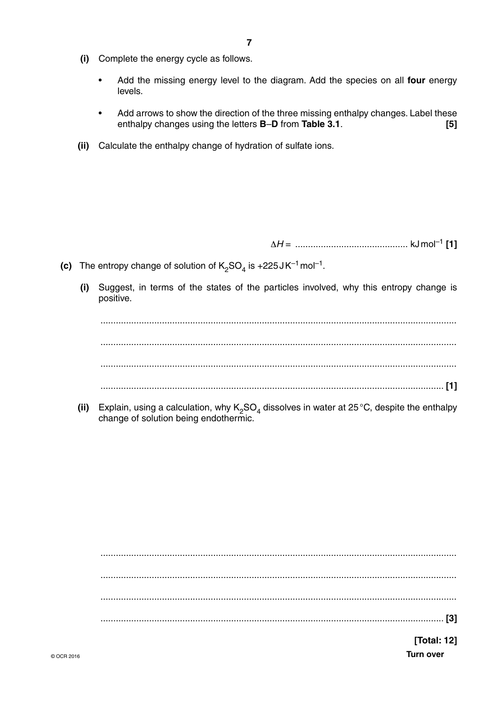- **(i)** Complete the energy cycle as follows.
	- Add the missing energy level to the diagram. Add the species on all **four** energy levels.
	- Add arrows to show the direction of the three missing enthalpy changes. Label these enthalpy changes using the letters **B**–**D** from **Table 3.1**. **[5]**
- **(ii)** Calculate the enthalpy change of hydration of sulfate ions.

Δ*H* = ............................................ kJ mol–1 **[1]**

- **(c)** The entropy change of solution of  $K_2SO_4$  is +225 JK<sup>-1</sup> mol<sup>-1</sup>.
	- **(i)** Suggest, in terms of the states of the particles involved, why this entropy change is positive.

 ........................................................................................................................................... ........................................................................................................................................... ........................................................................................................................................... ...................................................................................................................................... **[1]**

**(ii)** Explain, using a calculation, why K<sub>2</sub>SO<sub>4</sub> dissolves in water at 25 °C, despite the enthalpy change of solution being endothermic.

 ........................................................................................................................................... ........................................................................................................................................... ........................................................................................................................................... ...................................................................................................................................... **[3]**

© OCR 2016 **Turn over [Total: 12]**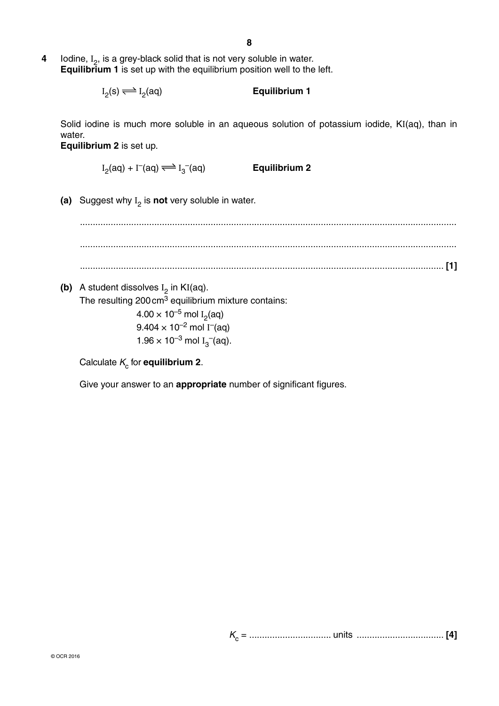**4 Iodine, I<sub>2</sub>, is a grey-black solid that is not very soluble in water. Equilibrium 1** is set up with the equilibrium position well to the left.

> $I_2(s) \rightleftharpoons I$ **Equilibrium 1**

Solid iodine is much more soluble in an aqueous solution of potassium iodide, KI(aq), than in water.

**Equilibrium 2** is set up.

 $I_2$ (aq) + I<sup>-</sup>(aq)  $\Longleftrightarrow$  I<sub>3</sub> –(aq) **Equilibrium 2**

 **(a)** Suggest why I 2 is **not** very soluble in water.

 ................................................................................................................................................... ................................................................................................................................................... .............................................................................................................................................. **[1]**

**(b)** A student dissolves  $I_2$  in KI(aq). The resulting 200 cm<sup>3</sup> equilibrium mixture contains:  $4.00\times10^{-5}$  mol I<sub>2</sub>(aq)  $9.404\times10^{-2}$  mol I<sup>–</sup>(aq)  $1.96 \times 10^{-3}$  mol I<sub>3</sub><sup>-</sup>(aq).

Calculate  $K_c$  for **equilibrium 2**.

Give your answer to an **appropriate** number of significant figures.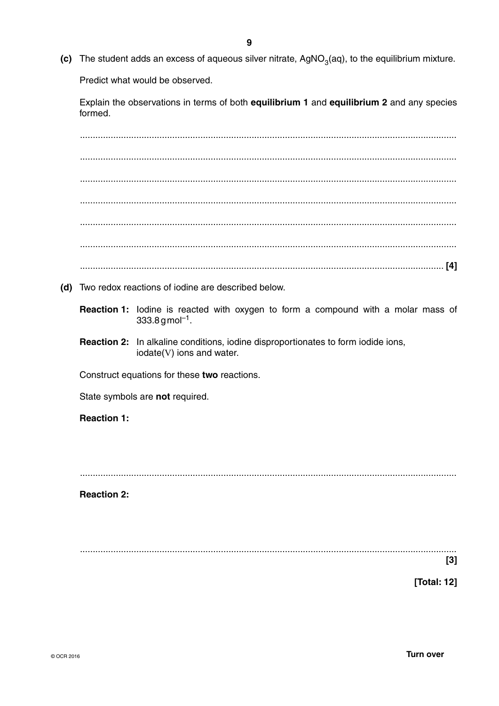(c) The student adds an excess of aqueous silver nitrate,  $AgNO<sub>3</sub>(aq)$ , to the equilibrium mixture.

Predict what would be observed.

Explain the observations in terms of both equilibrium 1 and equilibrium 2 and any species formed.

(d) Two redox reactions of iodine are described below.

Reaction 1: lodine is reacted with oxygen to form a compound with a molar mass of  $333.8$  g mol<sup>-1</sup>.

Reaction 2: In alkaline conditions, iodine disproportionates to form iodide ions, iodate(V) ions and water.

Construct equations for these two reactions.

State symbols are not required.

**Reaction 1:** 

**Reaction 2:** 

 $[3]$ 

[Total: 12]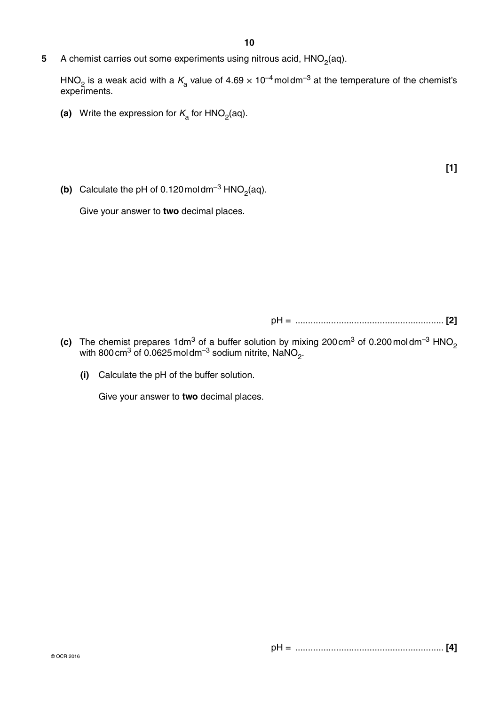**5** A chemist carries out some experiments using nitrous acid, HNO<sub>2</sub>(aq).

HNO<sub>2</sub> is a weak acid with a  $K_a$  value of 4.69  $\times$  10<sup>-4</sup> moldm<sup>-3</sup> at the temperature of the chemist's experiments.

- **(a)** Write the expression for  $K<sub>a</sub>$  for HNO<sub>2</sub>(aq).
- **(b)** Calculate the pH of 0.120 moldm<sup>-3</sup> HNO<sub>2</sub>(aq).

Give your answer to **two** decimal places.

pH = .......................................................... **[2]**

- **(c)** The chemist prepares 1dm<sup>3</sup> of a buffer solution by mixing 200 cm<sup>3</sup> of 0.200 moldm<sup>-3</sup> HNO<sub>2</sub> with 800 $\,$ cm $^3$  of 0.0625 mol $\,$ dm $^{-3}$  sodium nitrite, NaNO $_2^{}$ .
	- **(i)** Calculate the pH of the buffer solution.

Give your answer to **two** decimal places.

**[1]**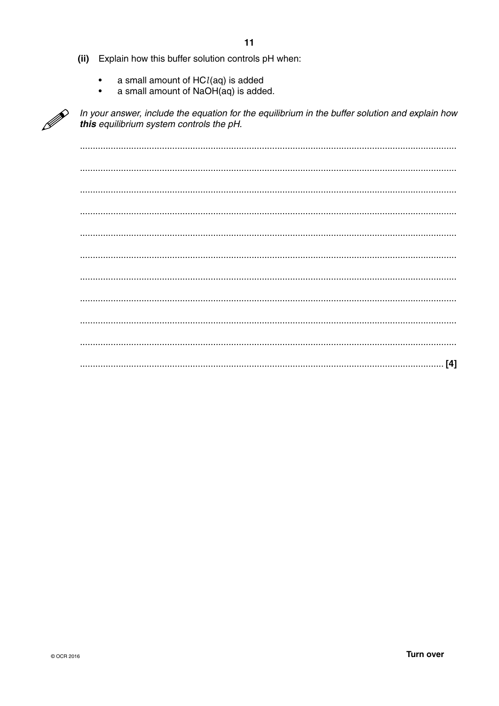- $11$
- (ii) Explain how this buffer solution controls pH when:
	- a small amount of  $HCl(aq)$  is added
	- a small amount of NaOH(aq) is added.  $\overline{\phantom{a}}$



In your answer, include the equation for the equilibrium in the buffer solution and explain how this equilibrium system controls the pH.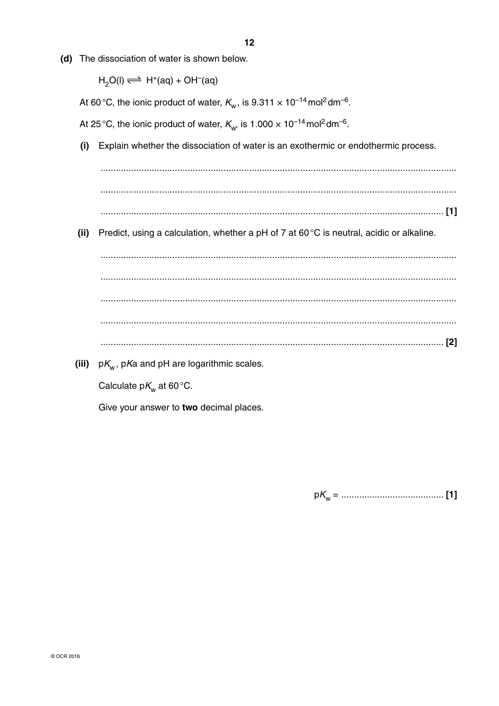(d) The dissociation of water is shown below.

 $H_2O(I) \rightleftharpoons H^+(aq) + OH^-(aq)$ 

At 60 °C, the ionic product of water,  $K_w$ , is 9.311  $\times$  10<sup>-14</sup> mol<sup>2</sup> dm<sup>-6</sup>.

At 25 °C, the ionic product of water,  $K_w$ , is 1.000  $\times$  10<sup>-14</sup> mol<sup>2</sup> dm<sup>-6</sup>.

Explain whether the dissociation of water is an exothermic or endothermic process.  $(i)$ 

(ii) Predict, using a calculation, whether a pH of 7 at 60 $\degree$ C is neutral, acidic or alkaline.

(iii)  $pK_w$ , pKa and pH are logarithmic scales.

Give your answer to two decimal places.

Calculate  $pK_w$  at 60 °C.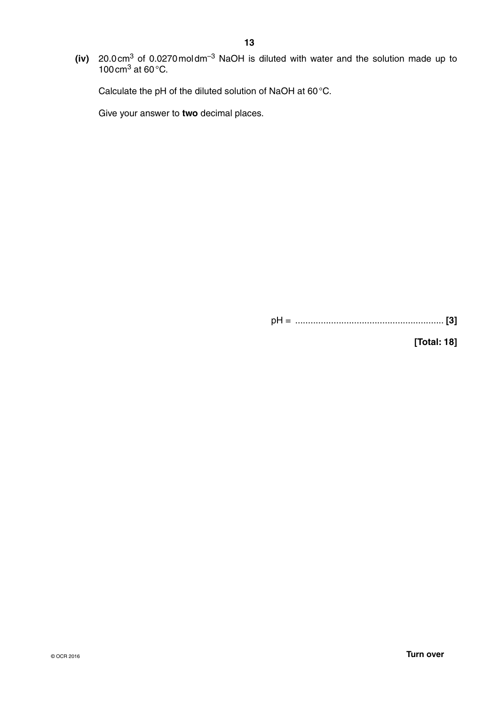**(iv)** 20.0 cm<sup>3</sup> of 0.0270 moldm<sup>-3</sup> NaOH is diluted with water and the solution made up to 100 cm<sup>3</sup> at 60 $\degree$ C.

Calculate the pH of the diluted solution of NaOH at 60 °C.

Give your answer to **two** decimal places.

pH = .......................................................... **[3]**

**[Total: 18]**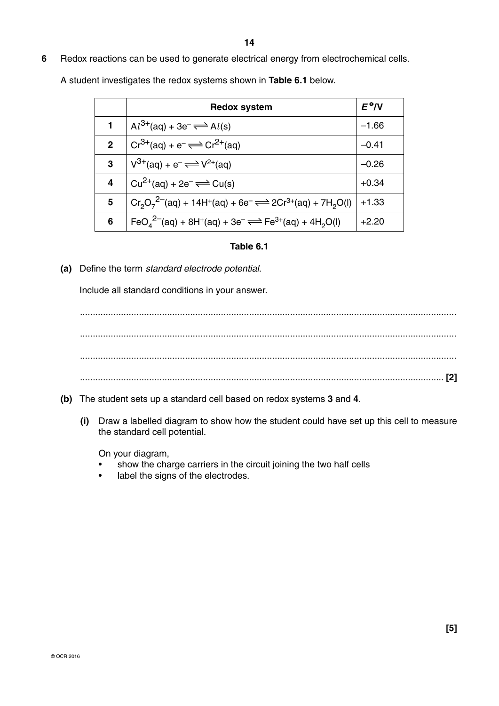**6** Redox reactions can be used to generate electrical energy from electrochemical cells.

A student investigates the redox systems shown in **Table 6.1** below.

|              | <b>Redox system</b>                                                                                                                            | $E^{\Theta}/V$ |
|--------------|------------------------------------------------------------------------------------------------------------------------------------------------|----------------|
|              | $Al^{3+}(aq) + 3e^- \rightleftharpoons Al(s)$                                                                                                  | $-1.66$        |
| $\mathbf{2}$ | $Cr^{3+}(aq) + e^- \rightleftharpoons Cr^{2+}(aq)$                                                                                             | $-0.41$        |
| 3            | $V^{3+}(aq) + e^- \rightleftharpoons V^{2+}(aq)$                                                                                               | $-0.26$        |
| 4            | $Cu^{2+}(aq) + 2e^{-} \rightleftharpoons Cu(s)$                                                                                                | $+0.34$        |
| 5            | $Cr_2O_7^{2-}$ (aq) + 14H <sup>+</sup> (aq) + 6e <sup>-</sup> $\rightleftharpoons$ 2Cr <sup>3+</sup> (aq) + 7H <sub>2</sub> O(l)               | $+1.33$        |
| 6            | FeO <sub>4</sub> <sup>2-</sup> (aq) + 8H <sup>+</sup> (aq) + 3e <sup>-</sup> $\rightleftharpoons$ Fe <sup>3+</sup> (aq) + 4H <sub>2</sub> O(l) | $+2.20$        |

#### **Table 6.1**

 **(a)** Define the term *standard electrode potential*.

Include all standard conditions in your answer.

 ................................................................................................................................................... ................................................................................................................................................... ................................................................................................................................................... .............................................................................................................................................. **[2]**

- **(b)** The student sets up a standard cell based on redox systems **3** and **4**.
	- **(i)** Draw a labelled diagram to show how the student could have set up this cell to measure the standard cell potential.

On your diagram,

- show the charge carriers in the circuit joining the two half cells
- label the signs of the electrodes.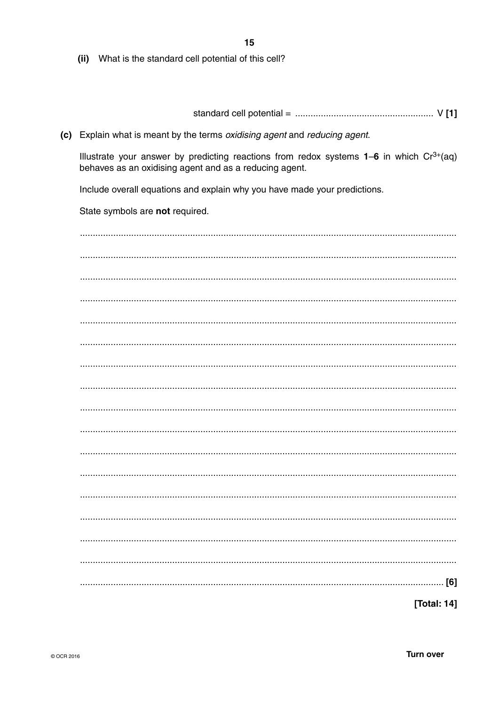15

(ii) What is the standard cell potential of this cell?

(c) Explain what is meant by the terms oxidising agent and reducing agent.

Illustrate your answer by predicting reactions from redox systems  $1-6$  in which  $Cr^{3+}(aq)$ behaves as an oxidising agent and as a reducing agent.

Include overall equations and explain why you have made your predictions.

State symbols are not required.

| [Total: 14] |
|-------------|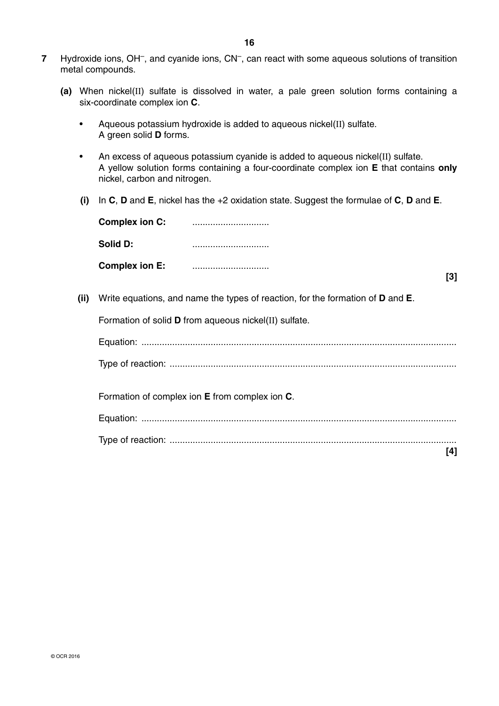- **7** Hydroxide ions, OH–, and cyanide ions, CN–, can react with some aqueous solutions of transition metal compounds.
	- **(a)** When nickel(II) sulfate is dissolved in water, a pale green solution forms containing a six-coordinate complex ion **C**.
		- Aqueous potassium hydroxide is added to aqueous nickel(II) sulfate. A green solid **D** forms.
		- An excess of aqueous potassium cyanide is added to aqueous nickel(II) sulfate. A yellow solution forms containing a four-coordinate complex ion **E** that contains **only** nickel, carbon and nitrogen.
		- **(i)** In **C**, **D** and **E**, nickel has the +2 oxidation state. Suggest the formulae of **C**, **D** and **E**.

| <b>Complex ion C:</b> |         |
|-----------------------|---------|
| Solid D:              |         |
| <b>Complex ion E:</b> | <br>[3] |
|                       |         |

 **(ii)** Write equations, and name the types of reaction, for the formation of **D** and **E**.

Formation of solid **D** from aqueous nickel(II) sulfate.

| Formation of complex ion E from complex ion C. |
|------------------------------------------------|
|                                                |
|                                                |
|                                                |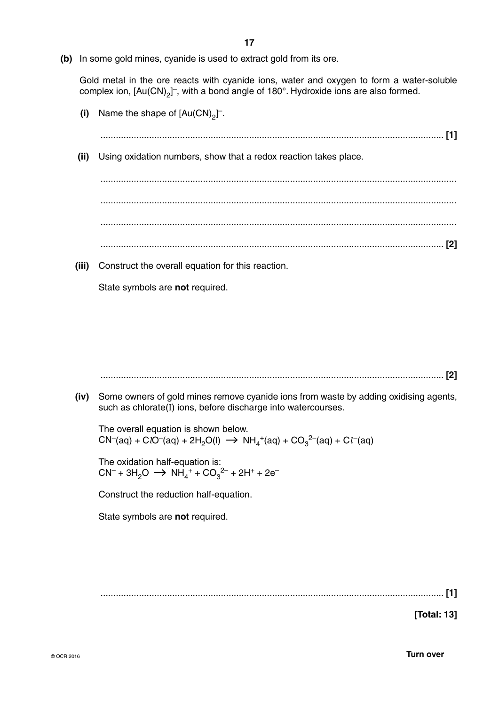**17**

 **(b)** In some gold mines, cyanide is used to extract gold from its ore.

Gold metal in the ore reacts with cyanide ions, water and oxygen to form a water-soluble complex ion,  $[Au(CN)_2]^-$ , with a bond angle of 180°. Hydroxide ions are also formed.

...................................................................................................................................... **[1]**

- $(i)$  Name the shape of  $[Au(CN)<sub>2</sub>]$ <sup>-</sup>.
	- **(ii)** Using oxidation numbers, show that a redox reaction takes place.

 ........................................................................................................................................... ........................................................................................................................................... ........................................................................................................................................... ...................................................................................................................................... **[2]**

 **(iii)** Construct the overall equation for this reaction.

State symbols are **not** required.

...................................................................................................................................... **[2]**

 **(iv)** Some owners of gold mines remove cyanide ions from waste by adding oxidising agents, such as chlorate(I) ions, before discharge into watercourses.

The overall equation is shown below.  $\mathsf{CN}^-(\mathsf{aq}) + \mathsf{C} \mathsf{IO}^-(\mathsf{aq}) + 2\mathsf{H}_2\mathsf{O}(\mathsf{I}) \ \to \ \mathsf{NH_4}^+(\mathsf{aq}) + \mathsf{CO_3}^{2-}(\mathsf{aq}) + \mathsf{Cl}^-(\mathsf{aq})$ 

The oxidation half-equation is:  $CN^{-} + 3H_2O \rightarrow NH_4^+ + CO_3^{2-} + 2H^+ + 2e^{-}$ 

Construct the reduction half-equation.

State symbols are **not** required.

...................................................................................................................................... **[1]**

**[Total: 13]**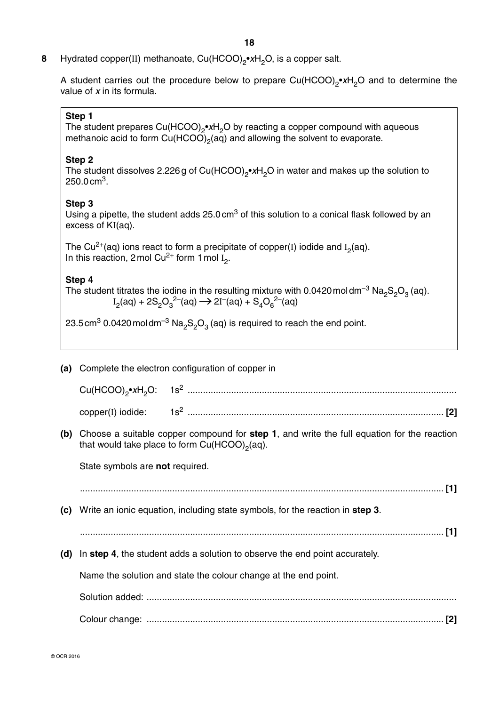- **18**
- **8** Hydrated copper(II) methanoate, Cu(HCOO)<sub>2</sub>•*x*H<sub>2</sub>O, is a copper salt.

A student carries out the procedure below to prepare Cu(HCOO)<sub>2</sub>•xH<sub>2</sub>O and to determine the value of *x* in its formula.

#### **Step 1**

The student prepares Cu(HCOO)<sub>2</sub>•*x*H<sub>2</sub>O by reacting a copper compound with aqueous methanoic acid to form  $Cu(HCOO)_2(aq)$  and allowing the solvent to evaporate.

#### **Step 2**

The student dissolves 2.226 g of Cu(HCOO)<sub>2</sub>•*x*H<sub>2</sub>O in water and makes up the solution to 250.0 cm3.

#### **Step 3**

Using a pipette, the student adds 25.0 cm<sup>3</sup> of this solution to a conical flask followed by an excess of KI(aq).

The Cu<sup>2+</sup>(aq) ions react to form a precipitate of copper(I) iodide and  $I_2$ (aq). In this reaction, 2 mol  $Cu^{2+}$  form 1 mol  $I_2$ .

#### **Step 4**

The student titrates the iodine in the resulting mixture with 0.0420 moldm<sup>-3</sup> Na<sub>2</sub>S<sub>2</sub>O<sub>3</sub> (aq).  $\mathrm{I}_2(\mathrm{aq}) + 2\mathrm{S}_2\mathrm{O}_3^{-2-}(\mathrm{aq}) \rightarrow 2\mathrm{I}^-(\mathrm{aq}) + \mathrm{S}_4\mathrm{O}_6^{-2-}(\mathrm{aq})$ 

23.5 cm<sup>3</sup> 0.0420 moldm<sup>-3</sup> Na<sub>2</sub>S<sub>2</sub>O<sub>3</sub> (aq) is required to reach the end point.

#### **(a)** Complete the electron configuration of copper in

| $Cu(HCOO)_{0} \cdot xH_{0}O$ : | lS <sup>≤</sup><br>. |
|--------------------------------|----------------------|
| $copper(I)$ iodide:            | $\sim$<br>C.         |

 **(b)** Choose a suitable copper compound for **step 1**, and write the full equation for the reaction that would take place to form  $Cu(HCOO)_{2}(aq)$ .

State symbols are **not** required.

| (C) | Write an ionic equation, including state symbols, for the reaction in step 3. |  |
|-----|-------------------------------------------------------------------------------|--|
|     |                                                                               |  |
| (d) | In step 4, the student adds a solution to observe the end point accurately.   |  |
|     | Name the solution and state the colour change at the end point.               |  |
|     |                                                                               |  |
|     |                                                                               |  |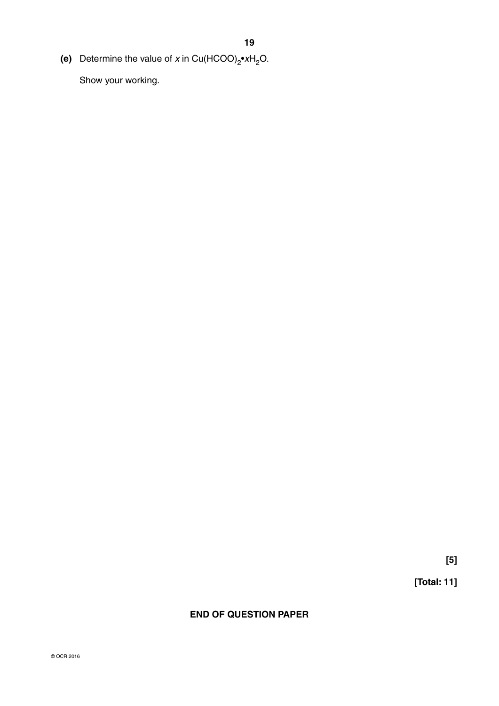**(e)** Determine the value of *x* in Cu(HCOO)<sub>2</sub>•*x*H<sub>2</sub>O.

Show your working.

**[5]**

**[Total: 11]**

**END OF QUESTION PAPER**